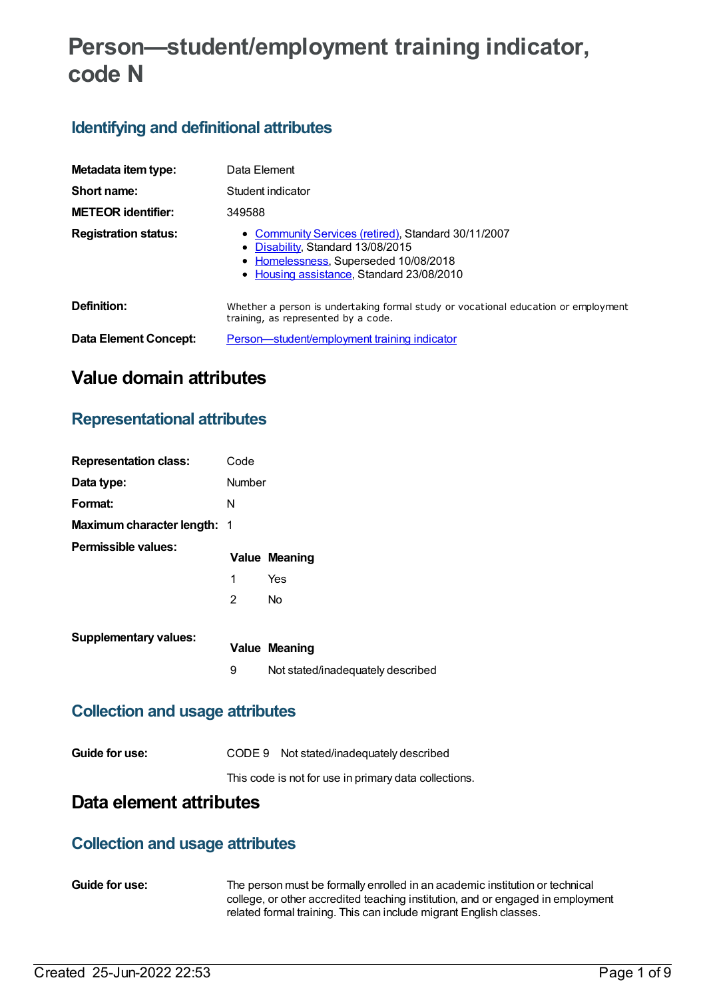# **Person—student/employment training indicator, code N**

## **Identifying and definitional attributes**

| Metadata item type:         | Data Element                                                                                                                                                                 |  |  |
|-----------------------------|------------------------------------------------------------------------------------------------------------------------------------------------------------------------------|--|--|
| Short name:                 | Student indicator                                                                                                                                                            |  |  |
| <b>METEOR identifier:</b>   | 349588                                                                                                                                                                       |  |  |
| <b>Registration status:</b> | • Community Services (retired), Standard 30/11/2007<br>Disability, Standard 13/08/2015<br>• Homelessness, Superseded 10/08/2018<br>• Housing assistance, Standard 23/08/2010 |  |  |
| Definition:                 | Whether a person is undertaking formal study or vocational education or employment<br>training, as represented by a code.                                                    |  |  |
| Data Element Concept:       | Person—student/employment training indicator                                                                                                                                 |  |  |

## **Value domain attributes**

### **Representational attributes**

| <b>Representation class:</b>           | Code           |                                   |
|----------------------------------------|----------------|-----------------------------------|
| Data type:                             | Number         |                                   |
| Format:                                | N              |                                   |
| <b>Maximum character length: 1</b>     |                |                                   |
| Permissible values:                    |                | <b>Value Meaning</b>              |
|                                        | 1              | Yes                               |
|                                        | $\overline{2}$ | <b>No</b>                         |
| <b>Supplementary values:</b>           |                |                                   |
|                                        |                | <b>Value Meaning</b>              |
|                                        | 9              | Not stated/inadequately described |
| <b>Collection and usage attributes</b> |                |                                   |

| Guide for use: | CODE 9 Not stated/inadequately described |
|----------------|------------------------------------------|
|                |                                          |

This code is not for use in primary data collections.

## **Data element attributes**

### **Collection and usage attributes**

**Guide for use:** The person must be formally enrolled in an academic institution or technical college, or other accredited teaching institution, and or engaged in employment related formal training. This can include migrant English classes.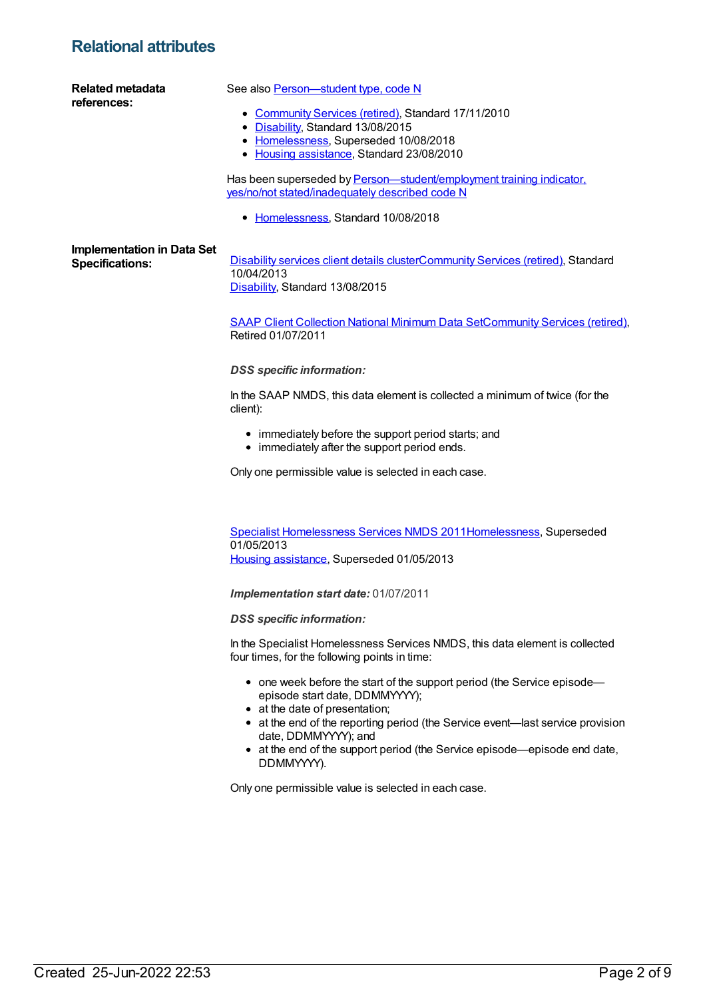### **Relational attributes**

| <b>Related metadata</b><br>references: | See also Person-student type, code N                                                                                                        |
|----------------------------------------|---------------------------------------------------------------------------------------------------------------------------------------------|
|                                        | • Community Services (retired), Standard 17/11/2010                                                                                         |
|                                        | • Disability, Standard 13/08/2015<br>• Homelessness, Superseded 10/08/2018                                                                  |
|                                        | • Housing assistance, Standard 23/08/2010                                                                                                   |
|                                        | Has been superseded by Person-student/employment training indicator.<br>yes/no/not stated/inadequately described code N                     |
|                                        | • Homelessness, Standard 10/08/2018                                                                                                         |
| <b>Implementation in Data Set</b>      |                                                                                                                                             |
| <b>Specifications:</b>                 | Disability services client details clusterCommunity Services (retired), Standard<br>10/04/2013                                              |
|                                        | Disability, Standard 13/08/2015                                                                                                             |
|                                        | <b>SAAP Client Collection National Minimum Data SetCommunity Services (retired),</b>                                                        |
|                                        | Retired 01/07/2011                                                                                                                          |
|                                        | <b>DSS</b> specific information:                                                                                                            |
|                                        | In the SAAP NMDS, this data element is collected a minimum of twice (for the<br>client):                                                    |
|                                        | • immediately before the support period starts; and<br>• immediately after the support period ends.                                         |
|                                        | Only one permissible value is selected in each case.                                                                                        |
|                                        |                                                                                                                                             |
|                                        | Specialist Homelessness Services NMDS 2011Homelessness, Superseded                                                                          |
|                                        | 01/05/2013                                                                                                                                  |
|                                        | Housing assistance, Superseded 01/05/2013                                                                                                   |
|                                        | <b>Implementation start date: 01/07/2011</b>                                                                                                |
|                                        | <b>DSS</b> specific information:                                                                                                            |
|                                        | In the Specialist Homelessness Services NMDS, this data element is collected<br>four times, for the following points in time:               |
|                                        | • one week before the start of the support period (the Service episode—<br>episode start date, DDMMYYYY);<br>• at the date of presentation; |
|                                        | • at the end of the reporting period (the Service event-last service provision                                                              |

date, DDMMYYYY); and at the end of the support period (the Service episode—episode end date, DDMMYYYY).

Only one permissible value is selected in each case.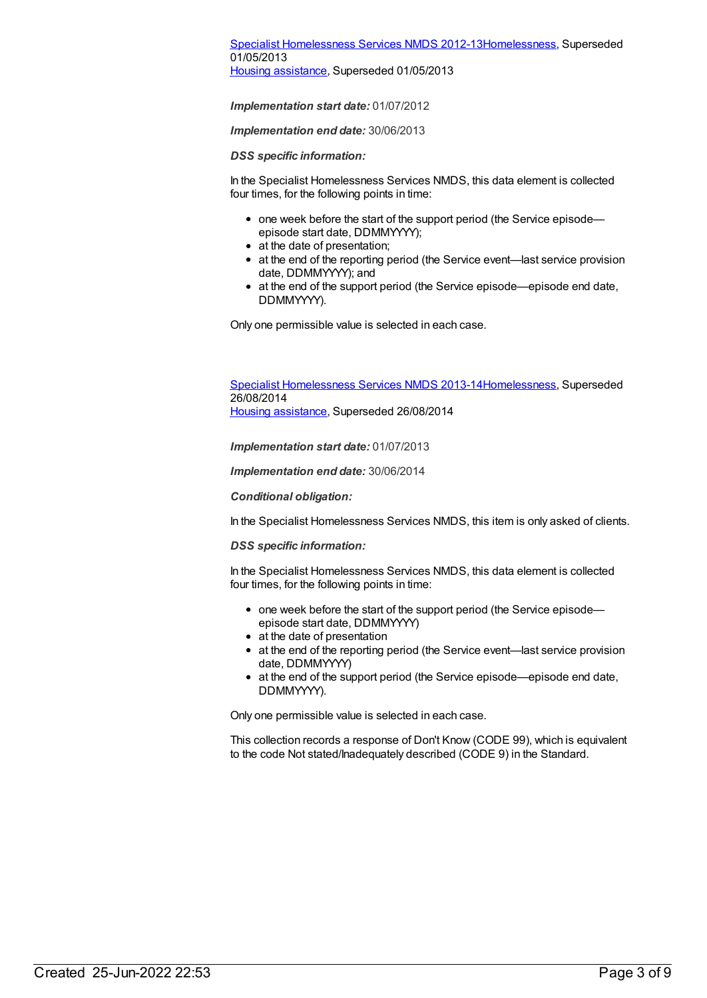### Specialist [Homelessness](https://meteor.aihw.gov.au/content/508954) Services NMDS 2012-1[3Homelessness](https://meteor.aihw.gov.au/RegistrationAuthority/14), Superseded 01/05/2013

Housing [assistance](https://meteor.aihw.gov.au/RegistrationAuthority/11), Superseded 01/05/2013

*Implementation start date:* 01/07/2012

*Implementation end date:* 30/06/2013

*DSS specific information:*

In the Specialist Homelessness Services NMDS, this data element is collected four times, for the following points in time:

- one week before the start of the support period (the Service episode episode start date, DDMMYYYY);
- at the date of presentation:
- at the end of the reporting period (the Service event—last service provision date, DDMMYYYY); and
- at the end of the support period (the Service episode—episode end date, DDMMYYYY).

Only one permissible value is selected in each case.

Specialist [Homelessness](https://meteor.aihw.gov.au/content/505626) Services NMDS 2013-1[4Homelessness](https://meteor.aihw.gov.au/RegistrationAuthority/14), Superseded 26/08/2014 Housing [assistance](https://meteor.aihw.gov.au/RegistrationAuthority/11), Superseded 26/08/2014

*Implementation start date:* 01/07/2013

*Implementation end date:* 30/06/2014

*Conditional obligation:*

In the Specialist Homelessness Services NMDS, this item is only asked of clients.

*DSS specific information:*

In the Specialist Homelessness Services NMDS, this data element is collected four times, for the following points in time:

- one week before the start of the support period (the Service episodeepisode start date, DDMMYYYY)
- at the date of presentation
- at the end of the reporting period (the Service event—last service provision date, DDMMYYYY)
- at the end of the support period (the Service episode—episode end date, DDMMYYYY).

Only one permissible value is selected in each case.

This collection records a response of Don't Know (CODE 99), which is equivalent to the code Not stated/Inadequately described (CODE 9) in the Standard.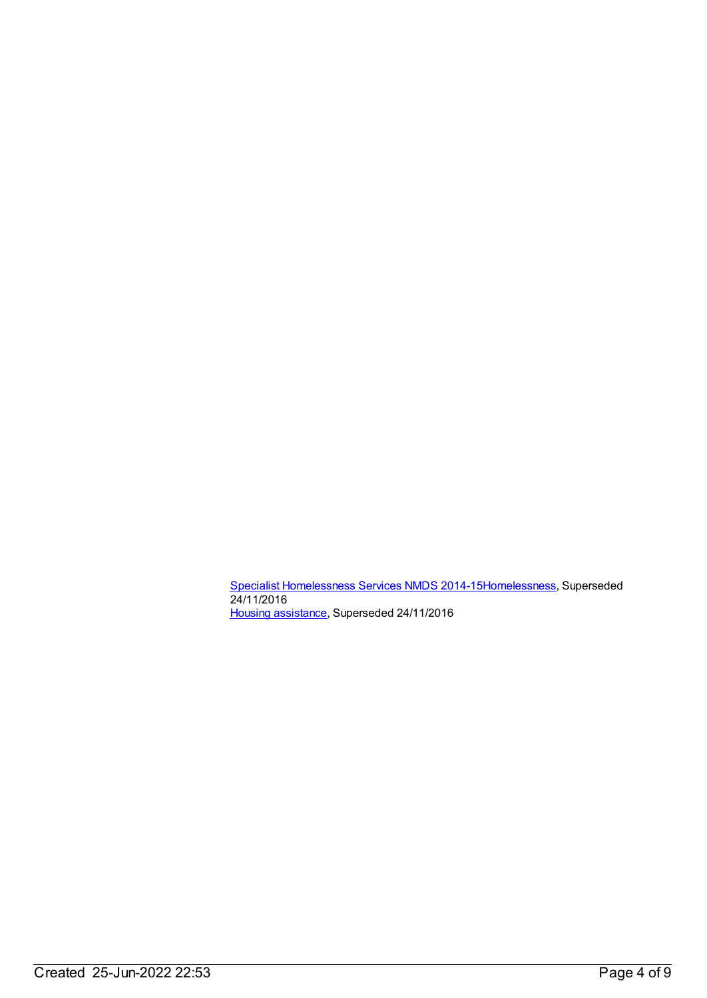Specialist [Homelessness](https://meteor.aihw.gov.au/content/581255) Services NMDS 2014-1[5Homelessness](https://meteor.aihw.gov.au/RegistrationAuthority/14), Superseded 24/11/2016 Housing [assistance](https://meteor.aihw.gov.au/RegistrationAuthority/11), Superseded 24/11/2016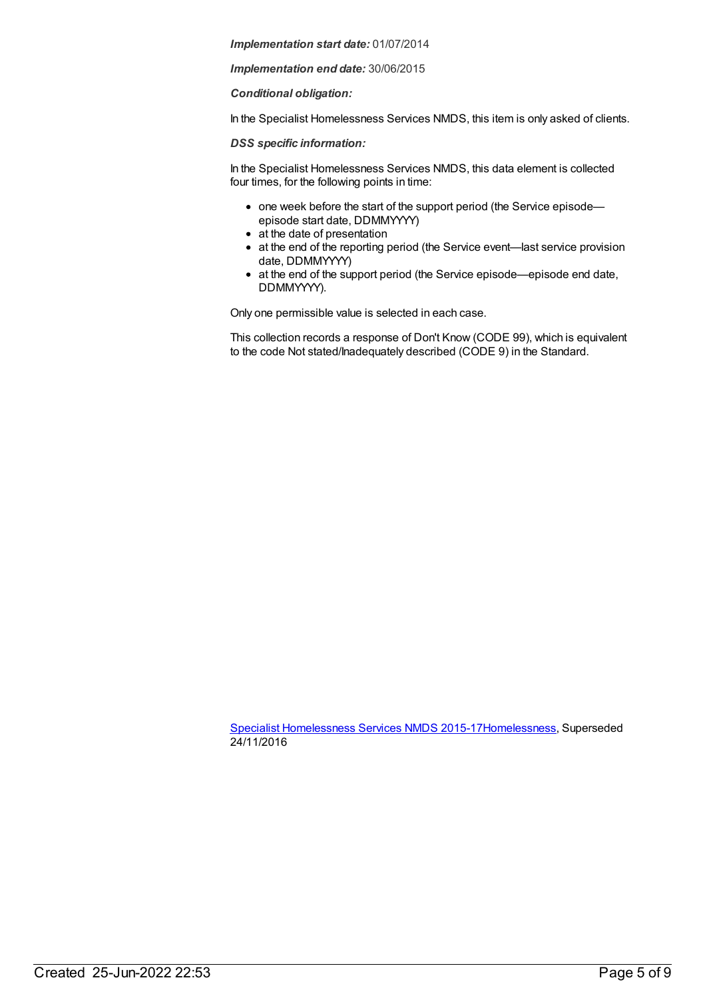*Implementation start date:* 01/07/2014

*Implementation end date:* 30/06/2015

*Conditional obligation:*

In the Specialist Homelessness Services NMDS, this item is only asked of clients.

*DSS specific information:*

In the Specialist Homelessness Services NMDS, this data element is collected four times, for the following points in time:

- one week before the start of the support period (the Service episode episode start date, DDMMYYYY)
- at the date of presentation
- at the end of the reporting period (the Service event—last service provision date, DDMMYYYY)
- at the end of the support period (the Service episode—episode end date, DDMMYYYY).

Only one permissible value is selected in each case.

This collection records a response of Don't Know (CODE 99), which is equivalent to the code Not stated/Inadequately described (CODE 9) in the Standard.

Specialist [Homelessness](https://meteor.aihw.gov.au/content/658005) Services NMDS 2015-1[7Homelessness](https://meteor.aihw.gov.au/RegistrationAuthority/14), Superseded 24/11/2016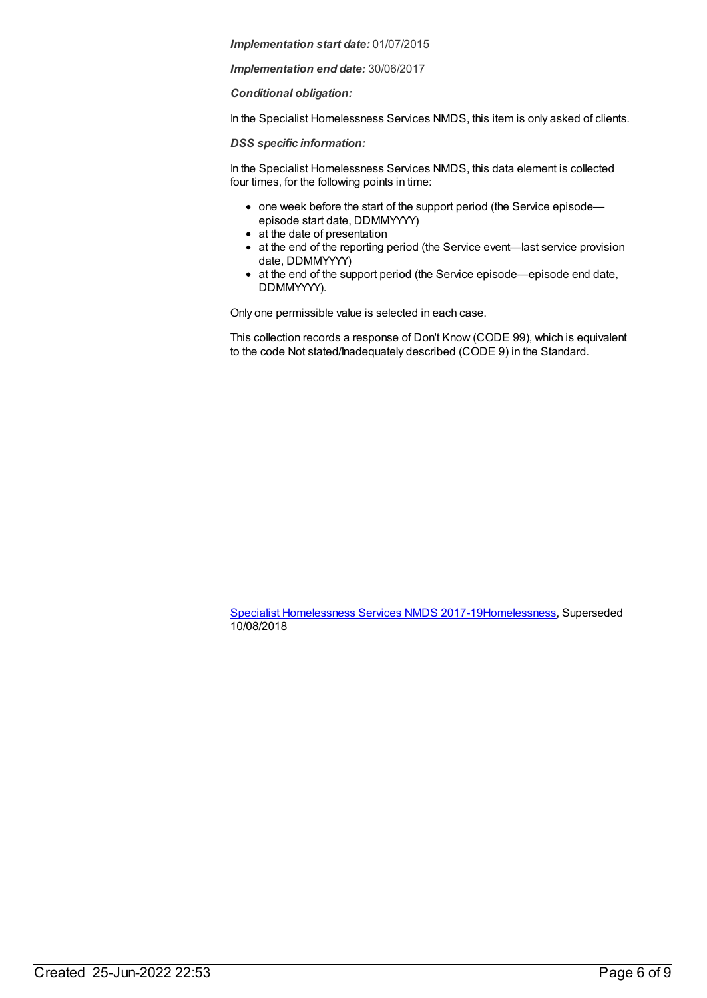*Implementation start date:* 01/07/2015

*Implementation end date:* 30/06/2017

*Conditional obligation:*

In the Specialist Homelessness Services NMDS, this item is only asked of clients.

*DSS specific information:*

In the Specialist Homelessness Services NMDS, this data element is collected four times, for the following points in time:

- one week before the start of the support period (the Service episode episode start date, DDMMYYYY)
- at the date of presentation
- at the end of the reporting period (the Service event—last service provision date, DDMMYYYY)
- at the end of the support period (the Service episode—episode end date, DDMMYYYY).

Only one permissible value is selected in each case.

This collection records a response of Don't Know (CODE 99), which is equivalent to the code Not stated/Inadequately described (CODE 9) in the Standard.

Specialist [Homelessness](https://meteor.aihw.gov.au/content/650006) Services NMDS 2017-1[9Homelessness](https://meteor.aihw.gov.au/RegistrationAuthority/14), Superseded 10/08/2018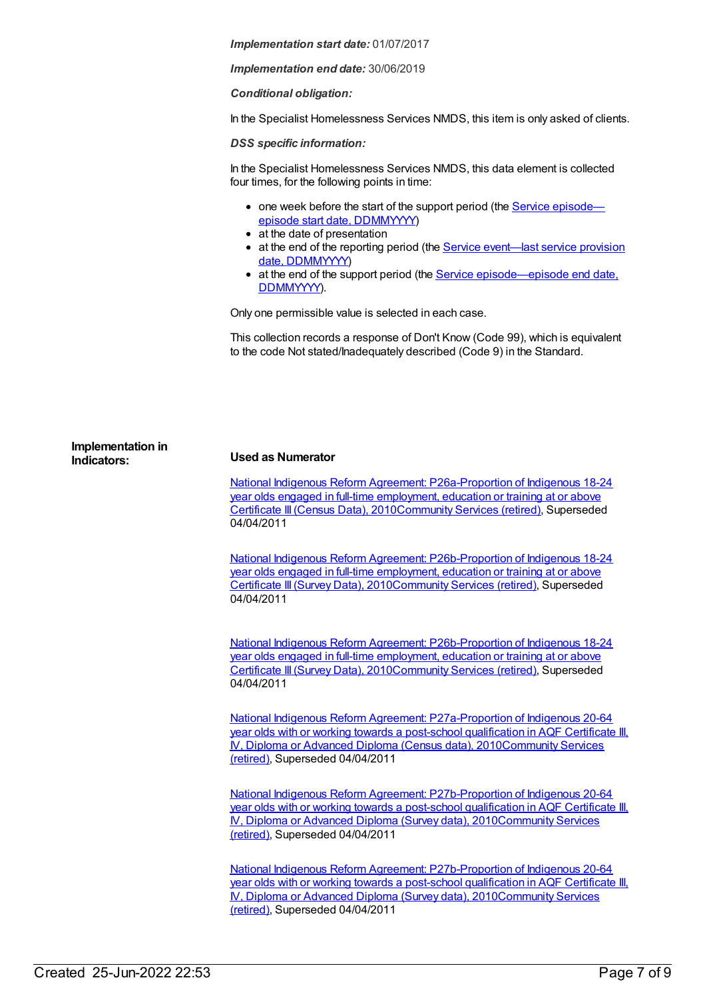*Implementation start date:* 01/07/2017

*Implementation end date:* 30/06/2019

*Conditional obligation:*

In the Specialist Homelessness Services NMDS, this item is only asked of clients.

*DSS specific information:*

In the Specialist Homelessness Services NMDS, this data element is collected four times, for the following points in time:

- one week before the start of the support period (the Service episode episode start date, [DDMMYYYY\)](file:///content/338558)
- at the date of presentation
- at the end of the reporting period (the **Service [event—last](file:///content/323253) service provision** date, DDMMYYYY)
- at the end of the support period (the Service [episode—episode](file:///content/270160) end date, DDMMYYYY).

Only one permissible value is selected in each case.

This collection records a response of Don't Know (Code 99), which is equivalent to the code Not stated/Inadequately described (Code 9) in the Standard.

| Implementation in<br>Indicators: | <b>Used as Numerator</b>                                                                                                                                                                                                                                                               |
|----------------------------------|----------------------------------------------------------------------------------------------------------------------------------------------------------------------------------------------------------------------------------------------------------------------------------------|
|                                  | National Indigenous Reform Agreement: P26a-Proportion of Indigenous 18-24<br>year olds engaged in full-time employment, education or training at or above<br>Certificate III (Census Data), 2010Community Services (retired), Superseded<br>04/04/2011                                 |
|                                  | National Indigenous Reform Agreement: P26b-Proportion of Indigenous 18-24<br>year olds engaged in full-time employment, education or training at or above<br>Certificate III (Survey Data), 2010Community Services (retired), Superseded<br>04/04/2011                                 |
|                                  | National Indigenous Reform Agreement: P26b-Proportion of Indigenous 18-24<br>year olds engaged in full-time employment, education or training at or above<br>Certificate III (Survey Data), 2010Community Services (retired), Superseded<br>04/04/2011                                 |
|                                  | National Indigenous Reform Agreement: P27a-Proportion of Indigenous 20-64<br>year olds with or working towards a post-school qualification in AQF Certificate III.<br>IV, Diploma or Advanced Diploma (Census data), 2010Community Services<br>(retired), Superseded 04/04/2011        |
|                                  | National Indigenous Reform Agreement: P27b-Proportion of Indigenous 20-64<br>year olds with or working towards a post-school qualification in AQF Certificate III.<br><b>N</b> , Diploma or Advanced Diploma (Survey data), 2010Community Services<br>(retired), Superseded 04/04/2011 |

National Indigenous Reform Agreement: [P27b-Proportion](https://meteor.aihw.gov.au/content/396918) of Indigenous 20-64 year olds with or working towards a post-school qualification in AQF Certificate III, IV, Diploma or Advanced Diploma (Survey data), [2010Community](https://meteor.aihw.gov.au/RegistrationAuthority/1) Services (retired), Superseded 04/04/2011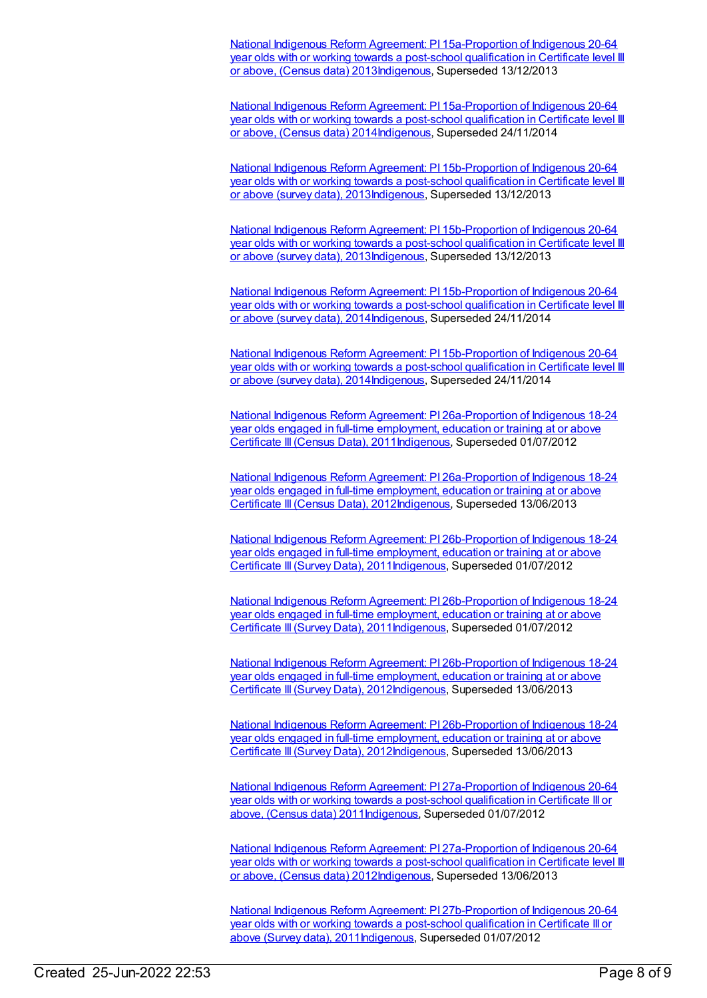National Indigenous Reform Agreement: PI [15a-Proportion](https://meteor.aihw.gov.au/content/484375) of Indigenous 20-64 year olds with or working towards a post-school qualification in Certificate level III or above, (Census data) 201[3Indigenous](https://meteor.aihw.gov.au/RegistrationAuthority/6), Superseded 13/12/2013

National Indigenous Reform Agreement: PI [15a-Proportion](https://meteor.aihw.gov.au/content/525738) of Indigenous 20-64 year olds with or working towards a post-school qualification in Certificate level III or above, (Census data) 201[4Indigenous](https://meteor.aihw.gov.au/RegistrationAuthority/6), Superseded 24/11/2014

National Indigenous Reform Agreement: PI [15b-Proportion](https://meteor.aihw.gov.au/content/484377) of Indigenous 20-64 year olds with or working towards a post-school qualification in Certificate level III or above (survey data), 2013[Indigenous,](https://meteor.aihw.gov.au/RegistrationAuthority/6) Superseded 13/12/2013

National Indigenous Reform Agreement: PI [15b-Proportion](https://meteor.aihw.gov.au/content/484377) of Indigenous 20-64 year olds with or working towards a post-school qualification in Certificate level III or above (survey data), 2013[Indigenous,](https://meteor.aihw.gov.au/RegistrationAuthority/6) Superseded 13/12/2013

National Indigenous Reform Agreement: PI [15b-Proportion](https://meteor.aihw.gov.au/content/525731) of Indigenous 20-64 year olds with or working towards a post-school qualification in Certificate level III or above (survey data), 2014[Indigenous,](https://meteor.aihw.gov.au/RegistrationAuthority/6) Superseded 24/11/2014

National Indigenous Reform Agreement: PI 15b-Proportion of Indigenous 20-64 year olds with or working towards a post-school qualification in Certificate level III or above (survey data), [2014Indigenous,](https://meteor.aihw.gov.au/content/525731) Superseded 24/11/2014

National Indigenous Reform Agreement: PI [26a-Proportion](https://meteor.aihw.gov.au/content/425809) of Indigenous 18-24 year olds engaged in full-time employment, education or training at or above Certificate III(Census Data), 201[1Indigenous,](https://meteor.aihw.gov.au/RegistrationAuthority/6) Superseded 01/07/2012

National Indigenous Reform Agreement: PI [26a-Proportion](https://meteor.aihw.gov.au/content/438735) of Indigenous 18-24 year olds engaged in full-time employment, education or training at or above Certificate III (Census Data), 201[2Indigenous,](https://meteor.aihw.gov.au/RegistrationAuthority/6) Superseded 13/06/2013

National Indigenous Reform Agreement: PI [26b-Proportion](https://meteor.aihw.gov.au/content/425811) of Indigenous 18-24 year olds engaged in full-time employment, education or training at or above Certificate III(Survey Data), 2011[Indigenous,](https://meteor.aihw.gov.au/RegistrationAuthority/6) Superseded 01/07/2012

National Indigenous Reform Agreement: PI [26b-Proportion](https://meteor.aihw.gov.au/content/425811) of Indigenous 18-24 year olds engaged in full-time employment, education or training at or above Certificate III (Survey Data), 2011[Indigenous,](https://meteor.aihw.gov.au/RegistrationAuthority/6) Superseded 01/07/2012

National Indigenous Reform Agreement: PI [26b-Proportion](https://meteor.aihw.gov.au/content/438740) of Indigenous 18-24 year olds engaged in full-time employment, education or training at or above Certificate III(Survey Data), 2012[Indigenous,](https://meteor.aihw.gov.au/RegistrationAuthority/6) Superseded 13/06/2013

National Indigenous Reform Agreement: PI [26b-Proportion](https://meteor.aihw.gov.au/content/438740) of Indigenous 18-24 year olds engaged in full-time employment, education or training at or above Certificate III (Survey Data), 2012[Indigenous,](https://meteor.aihw.gov.au/RegistrationAuthority/6) Superseded 13/06/2013

National Indigenous Reform Agreement: PI [27a-Proportion](https://meteor.aihw.gov.au/content/425813) of Indigenous 20-64 year olds with or working towards a post-school qualification in Certificate III or above, (Census data) 2011[Indigenous](https://meteor.aihw.gov.au/RegistrationAuthority/6), Superseded 01/07/2012

National Indigenous Reform Agreement: PI [27a-Proportion](https://meteor.aihw.gov.au/content/438744) of Indigenous 20-64 year olds with or working towards a post-school qualification in Certificate level III or above, (Census data) 201[2Indigenous](https://meteor.aihw.gov.au/RegistrationAuthority/6), Superseded 13/06/2013

National Indigenous Reform Agreement: PI [27b-Proportion](https://meteor.aihw.gov.au/content/425815) of Indigenous 20-64 year olds with or working towards a post-school qualification in Certificate III or above (Survey data), 2011[Indigenous,](https://meteor.aihw.gov.au/RegistrationAuthority/6) Superseded 01/07/2012